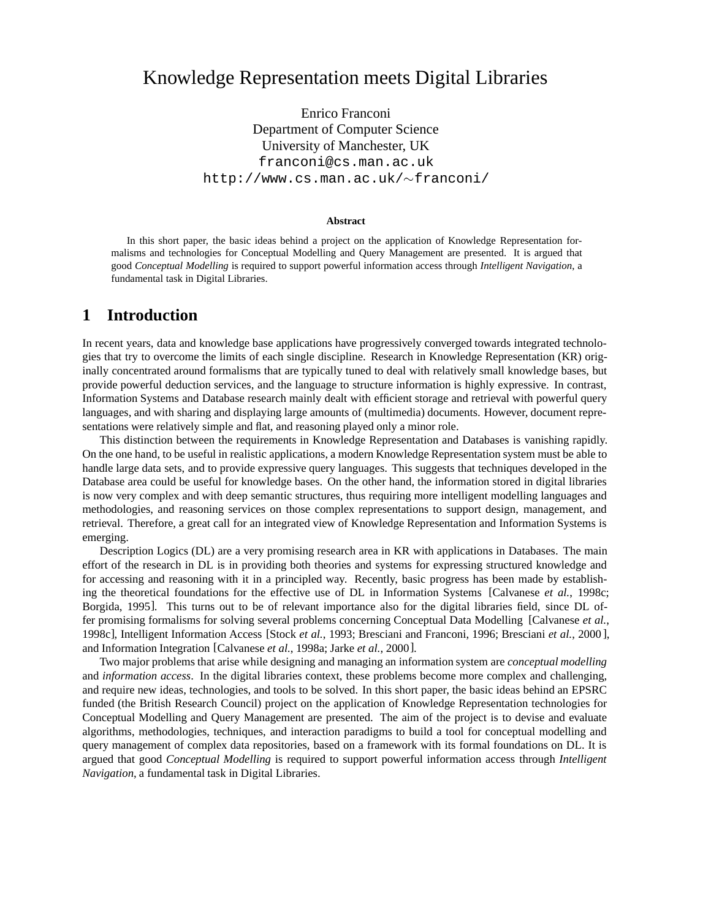# Knowledge Representation meets Digital Libraries

Enrico Franconi Department of Computer Science University of Manchester, UK franconi@cs.man.ac.uk http://www.cs.man.ac.uk/~franconi/

#### **Abstract**

In this short paper, the basic ideas behind a project on the application of Knowledge Representation formalisms and technologies for Conceptual Modelling and Query Management are presented. It is argued that good *Conceptual Modelling* is required to support powerful information access through *Intelligent Navigation*, a fundamental task in Digital Libraries.

#### **1 Introduction**

In recent years, data and knowledge base applications have progressively converged towards integrated technologies that try to overcome the limits of each single discipline. Research in Knowledge Representation (KR) originally concentrated around formalisms that are typically tuned to deal with relatively small knowledge bases, but provide powerful deduction services, and the language to structure information is highly expressive. In contrast, Information Systems and Database research mainly dealt with efficient storage and retrieval with powerful query languages, and with sharing and displaying large amounts of (multimedia) documents. However, document representations were relatively simple and flat, and reasoning played only a minor role.

This distinction between the requirements in Knowledge Representation and Databases is vanishing rapidly. On the one hand, to be useful in realistic applications, a modern Knowledge Representation system must be able to handle large data sets, and to provide expressive query languages. This suggests that techniques developed in the Database area could be useful for knowledge bases. On the other hand, the information stored in digital libraries is now very complex and with deep semantic structures, thus requiring more intelligent modelling languages and methodologies, and reasoning services on those complex representations to support design, management, and retrieval. Therefore, a great call for an integrated view of Knowledge Representation and Information Systems is emerging.

Description Logics (DL) are a very promising research area in KR with applications in Databases. The main effort of the research in DL is in providing both theories and systems for expressing structured knowledge and for accessing and reasoning with it in a principled way. Recently, basic progress has been made by establishing the theoretical foundations for the effective use of DL in Information Systems [Calvanese *et al.*, 1998c; Borgida, 1995]. This turns out to be of relevant importance also for the digital libraries field, since DL offer promising formalisms for solving several problems concerning Conceptual Data Modelling [Calvanese *et al.*, 1998c], Intelligent Information Access [Stock *et al.*, 1993; Bresciani and Franconi, 1996; Bresciani *et al.*, 2000 ], and Information Integration [Calvanese *et al.*, 1998a; Jarke *et al.*, 2000].

Two major problems that arise while designing and managing an information system are *conceptual modelling* and *information access*. In the digital libraries context, these problems become more complex and challenging, and require new ideas, technologies, and tools to be solved. In this short paper, the basic ideas behind an EPSRC funded (the British Research Council) project on the application of Knowledge Representation technologies for Conceptual Modelling and Query Management are presented. The aim of the project is to devise and evaluate algorithms, methodologies, techniques, and interaction paradigms to build a tool for conceptual modelling and query management of complex data repositories, based on a framework with its formal foundations on DL. It is argued that good *Conceptual Modelling* is required to support powerful information access through *Intelligent Navigation*, a fundamental task in Digital Libraries.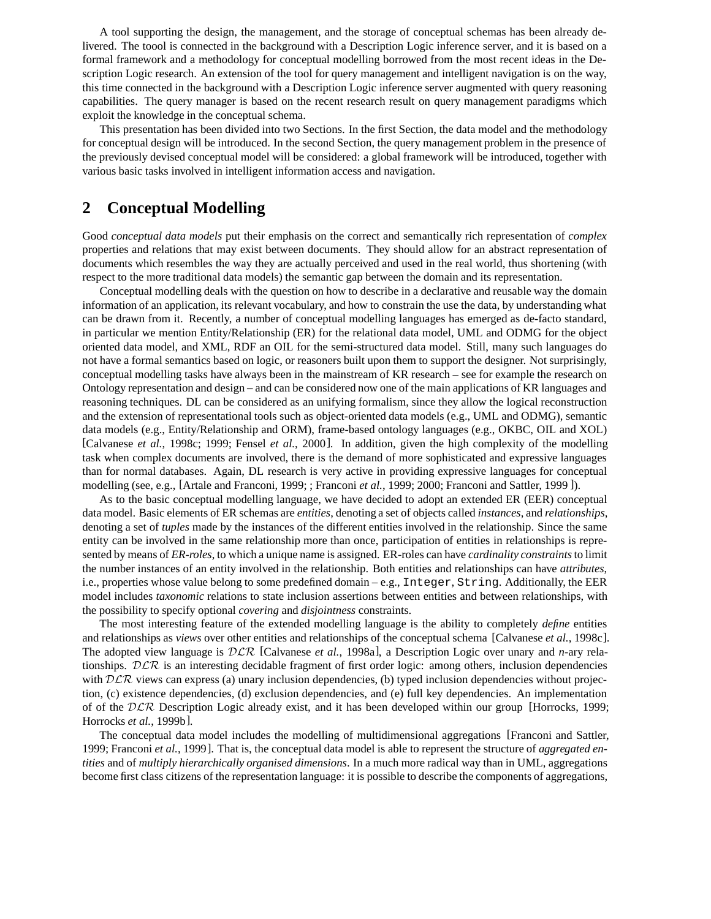A tool supporting the design, the management, and the storage of conceptual schemas has been already delivered. The toool is connected in the background with a Description Logic inference server, and it is based on a formal framework and a methodology for conceptual modelling borrowed from the most recent ideas in the Description Logic research. An extension of the tool for query management and intelligent navigation is on the way, this time connected in the background with a Description Logic inference server augmented with query reasoning capabilities. The query manager is based on the recent research result on query management paradigms which exploit the knowledge in the conceptual schema.

This presentation has been divided into two Sections. In the first Section, the data model and the methodology for conceptual design will be introduced. In the second Section, the query management problem in the presence of the previously devised conceptual model will be considered: a global framework will be introduced, together with various basic tasks involved in intelligent information access and navigation.

#### **2 Conceptual Modelling**

Good *conceptual data models* put their emphasis on the correct and semantically rich representation of *complex* properties and relations that may exist between documents. They should allow for an abstract representation of documents which resembles the way they are actually perceived and used in the real world, thus shortening (with respect to the more traditional data models) the semantic gap between the domain and its representation.

Conceptual modelling deals with the question on how to describe in a declarative and reusable way the domain information of an application, its relevant vocabulary, and how to constrain the use the data, by understanding what can be drawn from it. Recently, a number of conceptual modelling languages has emerged as de-facto standard, in particular we mention Entity/Relationship (ER) for the relational data model, UML and ODMG for the object oriented data model, and XML, RDF an OIL for the semi-structured data model. Still, many such languages do not have a formal semantics based on logic, or reasoners built upon them to support the designer. Not surprisingly, conceptual modelling tasks have always been in the mainstream of KR research – see for example the research on Ontology representation and design – and can be considered now one of the main applications of KR languages and reasoning techniques. DL can be considered as an unifying formalism, since they allow the logical reconstruction and the extension of representational tools such as object-oriented data models (e.g., UML and ODMG), semantic data models (e.g., Entity/Relationship and ORM), frame-based ontology languages (e.g., OKBC, OIL and XOL) [Calvanese *et al.*, 1998c; 1999; Fensel *et al.*, 2000]. In addition, given the high complexity of the modelling task when complex documents are involved, there is the demand of more sophisticated and expressive languages than for normal databases. Again, DL research is very active in providing expressive languages for conceptual modelling (see, e.g., [Artale and Franconi, 1999; ; Franconi *et al.*, 1999; 2000; Franconi and Sattler, 1999 ]).

As to the basic conceptual modelling language, we have decided to adopt an extended ER (EER) conceptual data model. Basic elements of ER schemas are *entities*, denoting a set of objects called *instances*, and *relationships*, denoting a set of *tuples* made by the instances of the different entities involved in the relationship. Since the same entity can be involved in the same relationship more than once, participation of entities in relationships is represented by means of *ER-roles*, to which a unique name is assigned. ER-roles can have *cardinality constraints*to limit the number instances of an entity involved in the relationship. Both entities and relationships can have *attributes*, i.e., properties whose value belong to some predefined domain – e.g., Integer, String. Additionally, the EER model includes *taxonomic* relations to state inclusion assertions between entities and between relationships, with the possibility to specify optional *covering* and *disjointness* constraints.

The most interesting feature of the extended modelling language is the ability to completely *define* entities and relationships as *views* over other entities and relationships of the conceptual schema [Calvanese *et al.*, 1998c]. The adopted view language is DLR [Calvanese *et al.*, 1998a], a Description Logic over unary and *n*-ary relationships.  $DLR$  is an interesting decidable fragment of first order logic: among others, inclusion dependencies with  $DLR$  views can express (a) unary inclusion dependencies, (b) typed inclusion dependencies without projection, (c) existence dependencies, (d) exclusion dependencies, and (e) full key dependencies. An implementation of of the  $D\mathcal{LR}$  Description Logic already exist, and it has been developed within our group [Horrocks, 1999; Horrocks *et al.*, 1999b].

The conceptual data model includes the modelling of multidimensional aggregations [Franconi and Sattler, 1999; Franconi *et al.*, 1999]. That is, the conceptual data model is able to represent the structure of *aggregated entities* and of *multiply hierarchically organised dimensions*. In a much more radical way than in UML, aggregations become first class citizens of the representation language: it is possible to describe the components of aggregations,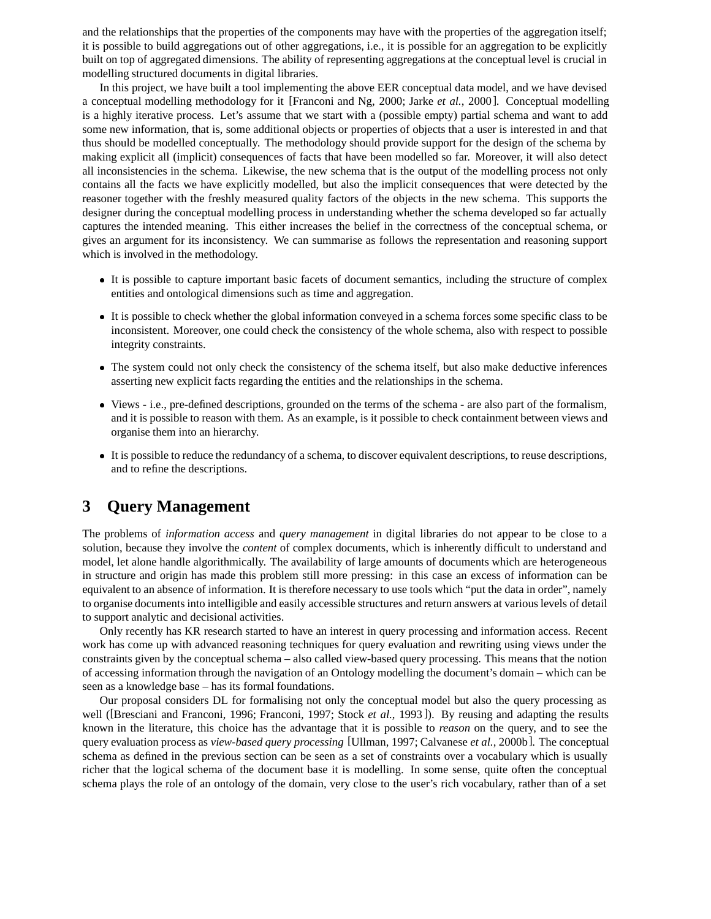and the relationships that the properties of the components may have with the properties of the aggregation itself; it is possible to build aggregations out of other aggregations, i.e., it is possible for an aggregation to be explicitly built on top of aggregated dimensions. The ability of representing aggregations at the conceptual level is crucial in modelling structured documents in digital libraries.

In this project, we have built a tool implementing the above EER conceptual data model, and we have devised a conceptual modelling methodology for it [Franconi and Ng, 2000; Jarke *et al.*, 2000]. Conceptual modelling is a highly iterative process. Let's assume that we start with a (possible empty) partial schema and want to add some new information, that is, some additional objects or properties of objects that a user is interested in and that thus should be modelled conceptually. The methodology should provide support for the design of the schema by making explicit all (implicit) consequences of facts that have been modelled so far. Moreover, it will also detect all inconsistencies in the schema. Likewise, the new schema that is the output of the modelling process not only contains all the facts we have explicitly modelled, but also the implicit consequences that were detected by the reasoner together with the freshly measured quality factors of the objects in the new schema. This supports the designer during the conceptual modelling process in understanding whether the schema developed so far actually captures the intended meaning. This either increases the belief in the correctness of the conceptual schema, or gives an argument for its inconsistency. We can summarise as follows the representation and reasoning support which is involved in the methodology.

- It is possible to capture important basic facets of document semantics, including the structure of complex entities and ontological dimensions such as time and aggregation.
- It is possible to check whether the global information conveyed in a schema forces some specific class to be inconsistent. Moreover, one could check the consistency of the whole schema, also with respect to possible integrity constraints.
- The system could not only check the consistency of the schema itself, but also make deductive inferences asserting new explicit facts regarding the entities and the relationships in the schema.
- Views i.e., pre-defined descriptions, grounded on the terms of the schema are also part of the formalism, and it is possible to reason with them. As an example, is it possible to check containment between views and organise them into an hierarchy.
- It is possible to reduce the redundancy of a schema, to discover equivalent descriptions, to reuse descriptions, and to refine the descriptions.

### **3 Query Management**

The problems of *information access* and *query management* in digital libraries do not appear to be close to a solution, because they involve the *content* of complex documents, which is inherently difficult to understand and model, let alone handle algorithmically. The availability of large amounts of documents which are heterogeneous in structure and origin has made this problem still more pressing: in this case an excess of information can be equivalent to an absence of information. It is therefore necessary to use tools which "put the data in order", namely to organise documents into intelligible and easily accessible structures and return answers at various levels of detail to support analytic and decisional activities.

Only recently has KR research started to have an interest in query processing and information access. Recent work has come up with advanced reasoning techniques for query evaluation and rewriting using views under the constraints given by the conceptual schema – also called view-based query processing. This means that the notion of accessing information through the navigation of an Ontology modelling the document's domain – which can be seen as a knowledge base – has its formal foundations.

Our proposal considers DL for formalising not only the conceptual model but also the query processing as well ([Bresciani and Franconi, 1996; Franconi, 1997; Stock *et al.*, 1993 ]). By reusing and adapting the results known in the literature, this choice has the advantage that it is possible to *reason* on the query, and to see the query evaluation process as *view-based query processing* [Ullman, 1997; Calvanese *et al.*, 2000b]. The conceptual schema as defined in the previous section can be seen as a set of constraints over a vocabulary which is usually richer that the logical schema of the document base it is modelling. In some sense, quite often the conceptual schema plays the role of an ontology of the domain, very close to the user's rich vocabulary, rather than of a set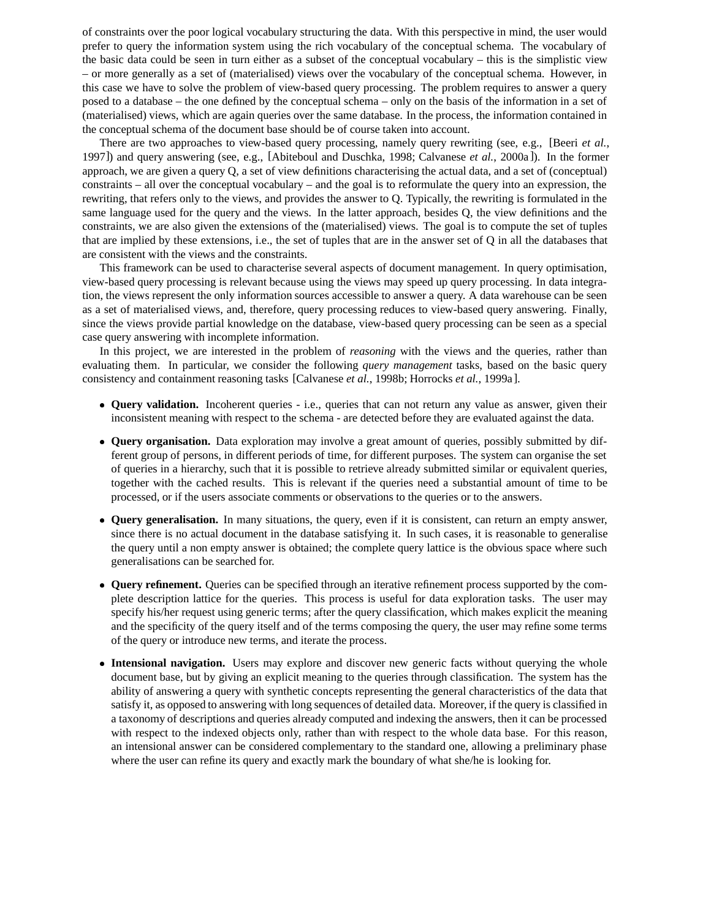of constraints over the poor logical vocabulary structuring the data. With this perspective in mind, the user would prefer to query the information system using the rich vocabulary of the conceptual schema. The vocabulary of the basic data could be seen in turn either as a subset of the conceptual vocabulary – this is the simplistic view – or more generally as a set of (materialised) views over the vocabulary of the conceptual schema. However, in this case we have to solve the problem of view-based query processing. The problem requires to answer a query posed to a database – the one defined by the conceptual schema – only on the basis of the information in a set of (materialised) views, which are again queries over the same database. In the process, the information contained in the conceptual schema of the document base should be of course taken into account.

There are two approaches to view-based query processing, namely query rewriting (see, e.g., [Beeri *et al.*, 1997]) and query answering (see, e.g., [Abiteboul and Duschka, 1998; Calvanese *et al.*, 2000a ]). In the former approach, we are given a query Q, a set of view definitions characterising the actual data, and a set of (conceptual) constraints – all over the conceptual vocabulary – and the goal is to reformulate the query into an expression, the rewriting, that refers only to the views, and provides the answer to Q. Typically, the rewriting is formulated in the same language used for the query and the views. In the latter approach, besides Q, the view definitions and the constraints, we are also given the extensions of the (materialised) views. The goal is to compute the set of tuples that are implied by these extensions, i.e., the set of tuples that are in the answer set of Q in all the databases that are consistent with the views and the constraints.

This framework can be used to characterise several aspects of document management. In query optimisation, view-based query processing is relevant because using the views may speed up query processing. In data integration, the views represent the only information sources accessible to answer a query. A data warehouse can be seen as a set of materialised views, and, therefore, query processing reduces to view-based query answering. Finally, since the views provide partial knowledge on the database, view-based query processing can be seen as a special case query answering with incomplete information.

In this project, we are interested in the problem of *reasoning* with the views and the queries, rather than evaluating them. In particular, we consider the following *query management* tasks, based on the basic query consistency and containment reasoning tasks [Calvanese *et al.*, 1998b; Horrocks *et al.*, 1999a ].

- **Query validation.** Incoherent queries i.e., queries that can not return any value as answer, given their inconsistent meaning with respect to the schema - are detected before they are evaluated against the data.
- **Query organisation.** Data exploration may involve a great amount of queries, possibly submitted by different group of persons, in different periods of time, for different purposes. The system can organise the set of queries in a hierarchy, such that it is possible to retrieve already submitted similar or equivalent queries, together with the cached results. This is relevant if the queries need a substantial amount of time to be processed, or if the users associate comments or observations to the queries or to the answers.
- **Query generalisation.** In many situations, the query, even if it is consistent, can return an empty answer, since there is no actual document in the database satisfying it. In such cases, it is reasonable to generalise the query until a non empty answer is obtained; the complete query lattice is the obvious space where such generalisations can be searched for.
- **Query refinement.** Queries can be specified through an iterative refinement process supported by the complete description lattice for the queries. This process is useful for data exploration tasks. The user may specify his/her request using generic terms; after the query classification, which makes explicit the meaning and the specificity of the query itself and of the terms composing the query, the user may refine some terms of the query or introduce new terms, and iterate the process.
- Intensional navigation. Users may explore and discover new generic facts without querying the whole document base, but by giving an explicit meaning to the queries through classification. The system has the ability of answering a query with synthetic concepts representing the general characteristics of the data that satisfy it, as opposed to answering with long sequences of detailed data. Moreover, if the query is classified in a taxonomy of descriptions and queries already computed and indexing the answers, then it can be processed with respect to the indexed objects only, rather than with respect to the whole data base. For this reason, an intensional answer can be considered complementary to the standard one, allowing a preliminary phase where the user can refine its query and exactly mark the boundary of what she/he is looking for.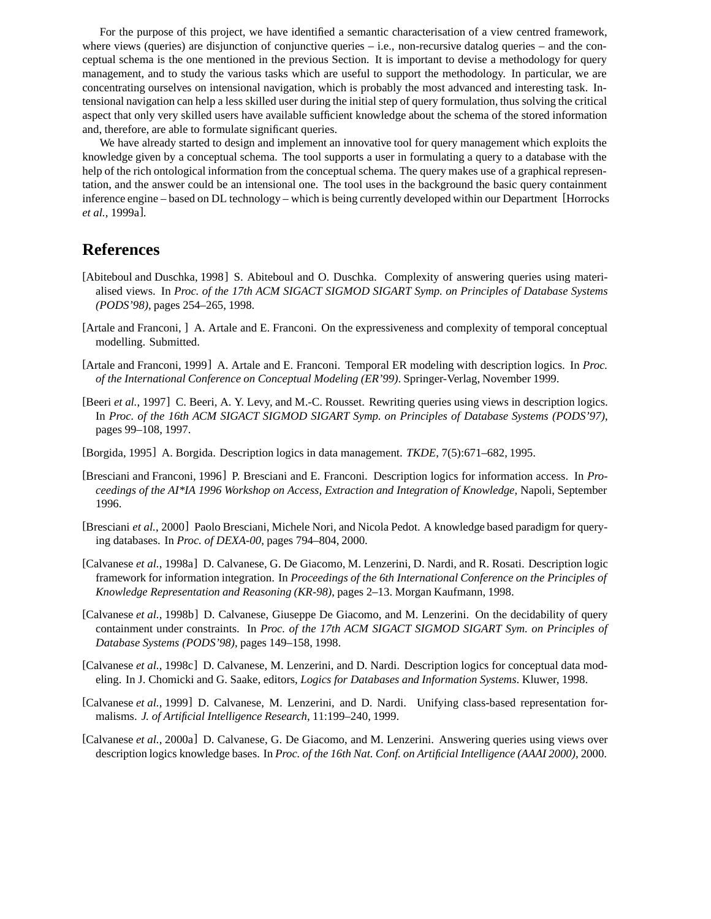For the purpose of this project, we have identified a semantic characterisation of a view centred framework, where views (queries) are disjunction of conjunctive queries  $-$  i.e., non-recursive datalog queries  $-$  and the conceptual schema is the one mentioned in the previous Section. It is important to devise a methodology for query management, and to study the various tasks which are useful to support the methodology. In particular, we are concentrating ourselves on intensional navigation, which is probably the most advanced and interesting task. Intensional navigation can help a less skilled user during the initial step of query formulation, thus solving the critical aspect that only very skilled users have available sufficient knowledge about the schema of the stored information and, therefore, are able to formulate significant queries.

We have already started to design and implement an innovative tool for query management which exploits the knowledge given by a conceptual schema. The tool supports a user in formulating a query to a database with the help of the rich ontological information from the conceptual schema. The query makes use of a graphical representation, and the answer could be an intensional one. The tool uses in the background the basic query containment inference engine – based on DL technology – which is being currently developed within our Department [Horrocks *et al.*, 1999a].

## **References**

- [Abiteboul and Duschka, 1998] S. Abiteboul and O. Duschka. Complexity of answering queries using materialised views. In *Proc. of the 17th ACM SIGACT SIGMOD SIGART Symp. on Principles of Database Systems (PODS'98)*, pages 254–265, 1998.
- [Artale and Franconi, ] A. Artale and E. Franconi. On the expressiveness and complexity of temporal conceptual modelling. Submitted.
- [Artale and Franconi, 1999] A. Artale and E. Franconi. Temporal ER modeling with description logics. In *Proc. of the International Conference on Conceptual Modeling (ER'99)*. Springer-Verlag, November 1999.
- [Beeri *et al.*, 1997] C. Beeri, A. Y. Levy, and M.-C. Rousset. Rewriting queries using views in description logics. In *Proc. of the 16th ACM SIGACT SIGMOD SIGART Symp. on Principles of Database Systems (PODS'97)*, pages 99–108, 1997.
- [Borgida, 1995] A. Borgida. Description logics in data management. *TKDE*, 7(5):671–682, 1995.
- [Bresciani and Franconi, 1996] P. Bresciani and E. Franconi. Description logics for information access. In *Proceedings of the AI\*IA 1996 Workshop on Access, Extraction and Integration of Knowledge*, Napoli, September 1996.
- [Bresciani *et al.*, 2000] Paolo Bresciani, Michele Nori, and Nicola Pedot. A knowledge based paradigm for querying databases. In *Proc. of DEXA-00*, pages 794–804, 2000.
- [Calvanese *et al.*, 1998a] D. Calvanese, G. De Giacomo, M. Lenzerini, D. Nardi, and R. Rosati. Description logic framework for information integration. In *Proceedings of the 6th International Conference on the Principles of Knowledge Representation and Reasoning (KR-98)*, pages 2–13. Morgan Kaufmann, 1998.
- [Calvanese *et al.*, 1998b] D. Calvanese, Giuseppe De Giacomo, and M. Lenzerini. On the decidability of query containment under constraints. In *Proc. of the 17th ACM SIGACT SIGMOD SIGART Sym. on Principles of Database Systems (PODS'98)*, pages 149–158, 1998.
- [Calvanese *et al.*, 1998c] D. Calvanese, M. Lenzerini, and D. Nardi. Description logics for conceptual data modeling. In J. Chomicki and G. Saake, editors, *Logics for Databases and Information Systems*. Kluwer, 1998.
- [Calvanese *et al.*, 1999] D. Calvanese, M. Lenzerini, and D. Nardi. Unifying class-based representation formalisms. *J. of Artificial Intelligence Research*, 11:199–240, 1999.
- [Calvanese *et al.*, 2000a] D. Calvanese, G. De Giacomo, and M. Lenzerini. Answering queries using views over description logics knowledge bases. In *Proc. of the 16th Nat. Conf. on Artificial Intelligence (AAAI 2000)*, 2000.